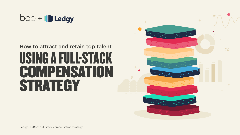## bob + Ill Ledgy

# USING A FULL-STAGK COMPENSATION STRATEGY How to attract and retain top talent

Ledgy + HiBob: Full-stack compensation strategy

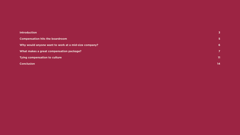#### **[Introduction](#page-2-0)**

**Compensation hits the boardroom** 

**Why would anyone want to work at a mid-size company?** 

**What makes a great compensation package?** 

**Tying compensation to culture** 

**Conclusion**

**[3](#page-2-0) [5](#page-4-0) [6](#page-5-0) [7](#page-6-0) [11](#page-10-0) [14](#page-13-0)**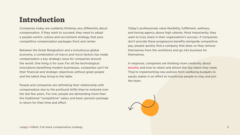## <span id="page-2-0"></span>Introduction

Companies today are suddenly thinking very differently about compensation. If they want to succeed, they need to adopt a people-centric culture and recruitment strategy that puts competitive compensation packages front and center.

Between the Great Resignation and a tumultuous global economy, a combination of macro and micro factors has made compensation a key strategic issue for companies around the world. One thing is for sure: For all the technological innovations benefiting modern businesses, companies can't hit their financial and strategic objectives without great people and the talent they bring to the table.

People and companies are rethinking their relationship with compensation due to the profound shifts they've endured over the last few years. For one, people are demanding more than the traditional "competitive" salary and basic pension package in return for their time and effort.

Today's professionals value flexibility, fulfillment, wellness, and having agency above high salaries. Most importantly, they want to truly share in their organization's success. If companies don't provide these progressive benefits alongside competitive pay, people quickly find a company that does-or they remove themselves from the workforce and go into business for themselves.

In response, companies are thinking more creatively about [benefits](https://www.hibob.com/hr-glossary/employee-benefits/) and how to retain and attract the top talent they need. They're implementing new policies from wellbeing budgets to equity stakes in an effort to incentivize people to stay and join the team.



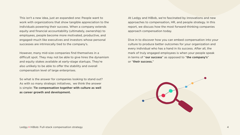This isn't a new idea, just an expanded one: People want to work with organizations that show tangible appreciation to the individuals powering their success. When a company extends equity and financial accountability (ultimately, ownership) to employees, people become more motivated, productive, and engaged-much like executives and investors whose personal successes are intrinsically tied to the company's.

However, many mid-size companies find themselves in a difficult spot. They may not be able to give hires the dynamism and equity stakes available at early-stage startups. They're also unlikely to be able to offer the stability and overall compensation level of large enterprises.

So what is the answer for companies looking to stand out? As with so many strategic initiatives, we think the answer is simple: Tie compensation together with culture as well as career growth and development.

At Ledgy and HiBob, we're fascinated by innovations and new approaches to compensation, HR, and people strategy. In this report, we discuss how the most forward-thinking companies approach compensation today.

Dive in to discover how you can embed compensation into your culture to produce better outcomes for your organization and every individual who has a hand in its success. After all, the mark of truly engaged employees is when your people speak in terms of "our success" as opposed to "the company's" or "their success."



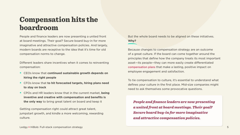Getting compensation right could attract great talent, jumpstart growth, and kindle a more welcoming, rewarding .culture

Ledgy + HiBob: Full-stack compensation strategy 5

But the whole board needs to be aligned on these initiatives. Why?

Because changes to compensation strategy are an outcome of a great culture. If the board can come together around the principles that define how the company treats its most important asset-its people-they can more easily create differentiated compensation plans that make a lasting, positive impact on employee engagement and satisfaction.

To tie compensation to culture, it's essential to understand what defines your culture in the first place. Mid-size companies might need to ask themselves some provocative questions.

*People and finance leaders are now presenting* a united front at board meetings. Their goal? *<u>Secure board buy-in for more imaginative</u> and attractive compensation policies.* 



## <span id="page-4-0"></span>Compensation hits the boardroom

People and finance leaders are now presenting a united front at board meetings. Their goal? Secure board buy-in for more imaginative and attractive compensation policies. And largely, modern boards are receptive to the idea that it's time for old compensation norms to change.

Different leaders share incentives when it comes to reinventing compensation:

- **CEOs know that continued sustainable growth depends on** hiring the right people
- **CFOs know that to hit forecasted targets, hiring plans need** to stay on track
- **CPOs and HR leaders know that in the current market, being** inventive and creative with compensation and benefits is the only way to bring great talent on board and keep it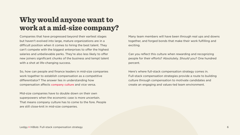### <span id="page-5-0"></span>Why would anyone want to work at a mid-size company?

Companies that have progressed beyond their earliest stages but haven't evolved into large, mature organizations are in a difficult position when it comes to hiring the best talent. They can't compete with the biggest enterprises to offer the highest salaries and unbelievable perks. They're also less likely to offer new joiners significant chunks of the business and tempt talent with a shot at life-changing success.

So, how can people and finance leaders in mid-size companies work together to establish compensation as a competitive differentiator? The answer lies in understanding how compensation affects company culture and vice versa.

Mid-size companies have to double down on their own superpowers when the economic case is more uncertain. That means company culture has to come to the fore. People are still close-knit in mid-size companies.



Many team members will have been through real ups and downs together, and forged bonds that make their work fulfilling and exciting.

Can you reflect this culture when rewarding and recognizing people for their efforts? Absolutely. Should you? One hundred percent.

Here's where full-stack compensation strategy comes in. Full-stack compensation strategies provide a route to building culture through compensation to motivate candidates and create an engaging and values-led team environment.

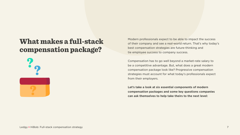### <span id="page-6-0"></span>What makes a full-stack compensation package?



 $I = \text{HIBob: Fullstack.}$  compensation strategy **+** And  $I = \text{HIBob: } I$  .

#### Modern professionals expect to be able to impact the success of their company and see a real-world return. That's why today's best compensation strategies are future-thinking and tie employee success to company success.

Compensation has to go well beyond a market-rate salary to be a competitive advantage. But, what does a great modern compensation package look like? Progressive compensation strategies must account for what today's professionals expect from their employers.

Let's take a look at six essential components of modern compensation packages and some key questions companies can ask themselves to help take theirs to the next level:

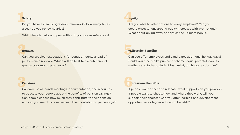4 1 times many How? framework progression clear a have you Do a year do you review salaries?

Which benchmarks and percentiles do you use as references?

#### Salary

### Bo: Bonuses

Can you set clear expectations for bonus amounts ahead of performance reviews? Which will be best to execute: annual, quarterly, or monthly bonuses?

#### Pensions

**Pensions**<br>Can you use all-hands meetings, documentation, and resources lf p to educate your people about the benefits of pension savings? Can people choose how much they contribute to their pension, and can you match or even exceed their contribution percentage?

#### **Equity**

Are you able to offer options to every employee? Can you create expectations around equity increases with promotions? What about giving away options as the ultimate bonus?

### Ca "Lifestyle" benefits

Can you offer employees and candidates additional holiday days? Could you fund a bike purchase scheme, equal parental leave for mothers and fathers, student loan relief, or childcare subsidies?

#### **Professional benefits**

If people want or need to relocate, what support can you provide? If people want to choose how and where they work, will you support their choices? Can you offer learning and development opportunities or higher education benefits?

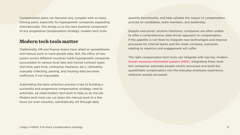Compensation plans can become very complex with so many moving parts, especially for hypergrowth companies expanding internationally. This brings us to the next essential component of any progressive compensation strategy: modern tech tools.

#### Modern tech tools matter

Traditionally, HR and finance teams have relied on spreadsheets and manual work to track people data. But, the influx of new joiners across different countries holds hypergrowth companies accountable to various local laws and myriad contract types (full-time, part-time, contractor, freelance, etc.). Ultimately, manually collecting, parsing, and tracking data becomes inefficient, if not impossible.

Automating the data collection process is key to building a successful and progressive compensation strategy-and to automate, we need modern tech built to help us do the job. Modern tech tools can cut down the manual work to a few hours (or even minutes), automatically sift through data,

quantify benchmarks, and help validate the impact of compensation policies on candidates, team members, and leadership.

Despite executives' positive intentions, companies are often unable to offer a comprehensive, data-driven approach to compensation. If the appetite is not there to integrate new technologies and improve processes for internal teams and the wider company, outcomes relating to retention and engagement will suffer.

The right compensation tech tools can integrate with top-tier, modern human resources information systems (HRIS). Integrating these tools lets companies automate people-centric processes and build fair, quantifiable compensation into the everyday employee experience, wherever people are based.

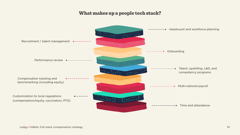### What makes up a people tech stack?



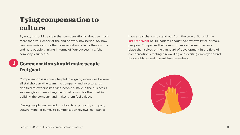## <span id="page-10-0"></span>Tying compensation to culture

By now, it should be clear that compensation is about so much more than your check at the end of every pay period. So, how can companies ensure that compensation reflects their culture and gets people thinking in terms of "our success" vs. "the company's success"?

#### **Compensation should make people** feel good 1.

Compensation is uniquely helpful in aligning incentives between all stakeholders-the team, the company, and investors. It's also tied to ownership: giving people a stake in the business's success gives them a tangible, fiscal reward for their part in building the company and makes them feel valued.

Making people feel valued is critical to any healthy company culture. When it comes to compensation reviews, companies

have a real chance to stand out from the crowd. Surprisingly, just six percent of HR leaders conduct pay reviews twice or more per year. Companies that commit to more frequent reviews place themselves at the vanguard of development in the field of compensation, creating a rewarding and exciting employer brand for candidates and current team members.

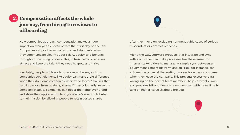#### 2. **Compensation affects the whole** journey, from hiring to reviews to offboarding

How companies approach compensation makes a huge impact on their people, even before their first day on the job. Companies set positive expectations and standards when they communicate clearly about salary, equity, and benefits throughout the hiring process. This, in turn, helps businesses attract and keep the talent they need to grow and thrive.

Inevitably, people will leave to chase new challenges. How companies treat elements like equity can make a big difference when they do. Some companies insert "bad leaver" clauses that restrict people from retaining shares if they voluntarily leave the company. Instead, companies can boost their employer brand and show their appreciation to anyone who's ever contributed to their mission by allowing people to retain vested shares

after they move on, excluding non-negotiable cases of serious misconduct or contract breaches.

Along the way, software products that integrate and sync with each other can make processes like these easier for internal stakeholders to manage. A simple sync between an equity management platform and an HRIS, for instance, can automatically cancel the vesting process for a person's shares when they leave the company. This prevents excessive data wrangling on the part of team members, helps prevent errors, and provides HR and finance team members with more time to take on higher-value strategic projects.

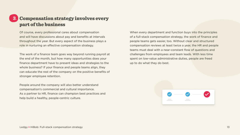### 3. Compensation strategy involves every part of the business

Of course, every professional cares about compensation and will have discussions about pay and benefits at intervals throughout the year. But every aspect of the business plays a role in nurturing an effective compensation strategy.

The work of a finance team goes way beyond running payroll at the end of the month, but how many opportunities does your finance department have to present ideas and strategies to the whole business? If your finance and people teams align, they can educate the rest of the company on the positive benefits of stronger employee retention.

People around the company will also better understand compensation's commercial and cultural importance. As a partner to HR, finance can champion best practices and help build a healthy, people-centric culture.

When every department and function buys into the principles of a full-stack compensation strategy, the work of finance and people teams gets easier, too. Without clear and structured compensation reviews at least twice a year, the HR and people teams must deal with a near-constant flow of questions and challenges from employees and team leads. With less time spent on low-value administrative duties, people are freed up to do what they do best.



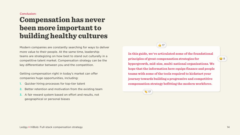#### <span id="page-13-0"></span>Conclusion:

### Compensation has never been more important to building healthy cultures

Modern companies are constantly searching for ways to deliver more value to their people. At the same time, leadership teams are strategizing on how best to stand out culturally in a competitive talent market. Compensation strategy can be the key differentiator between you and the competition.

Getting compensation right in today's market can offer companies huge opportunities, including:

- Quicker hiring processes for top-tier talent
- 2. Better retention and motivation from the existing team
- 3. A fair reward system based on effort and results, not geographical or personal biases

### In this guide, we've articulated some of the foundational **principles of great compensation strategies for**

 $\frac{1}{\sqrt{2}}$  17

hypergrowth, mid-size, multi-national organizations. We hope that the information here equips finance and people teams with some of the tools required to kickstart your **journey towards building a progressive and competitive** compensation strategy befitting the modern workforce.



 $\ddot{\bullet}$  8

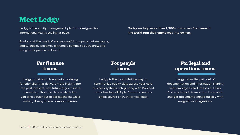### **Meet Ledgy**

Ledgy is the equity management platform designed for international teams scaling at pace.

Equity is at the heart of any successful company, but managing equity quickly becomes extremely complex as you grow and bring more people on board.

#### For people teams

### **For legal and** operations teams

Ledgy takes the pain out of documentation and information sharing with employees and investors. Easily find any historic transaction in seconds and get documents signed quickly with e-signature integrations.



Ledgy provides rich scenario modeling functionality that delivers more insight into the past, present, and future of your share ownership. Granular data analysis lets you take equity out of spreadsheets while making it easy to run complex queries.

Ledgy is the most intuitive way to synchronize equity data across your core business systems, integrating with Bob and other leading HRIS platforms to create a single source of truth for vital data.

Ledgy + HiBob: Full-stack compensation strategy

Today we help more than 2,500+ customers from around **the world turn their employees into owners.**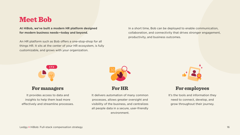### Meet Bob

At HiBob, we've built a modern HR platform designed for modern business needs-today and beyond.

An HR platform such as Bob offers a one-stop-shop for all things HR. It sits at the center of your HR ecosystem, is fully customizable, and grows with your organization.

#### **For managers**

It provides access to data and insights to help them lead more effectively and streamline processes.

It delivers automation of many common processes, allows greater oversight and visibility of the business, and centralizes all people data in a secure, user-friendly environment.



In a short time, Bob can be deployed to enable communication, collaboration, and connectivity that drives stronger engagement, productivity, and business outcomes.

#### **For HR**



#### For employees

It's the tools and information they need to connect, develop, and grow throughout their journey.

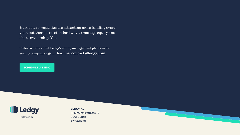#### European companies are attracting more funding every year, but there is no standard way to manage equity and share ownership. Yet.

To learn more about Ledgy's equity management platform for scaling companies, get in touch via contact@ledgy.com

SCHEDULE A DEMO



**LEDGY AG** 16 Fraumünsterstrasse 8001 Zürich Switzerland

ledgy.com